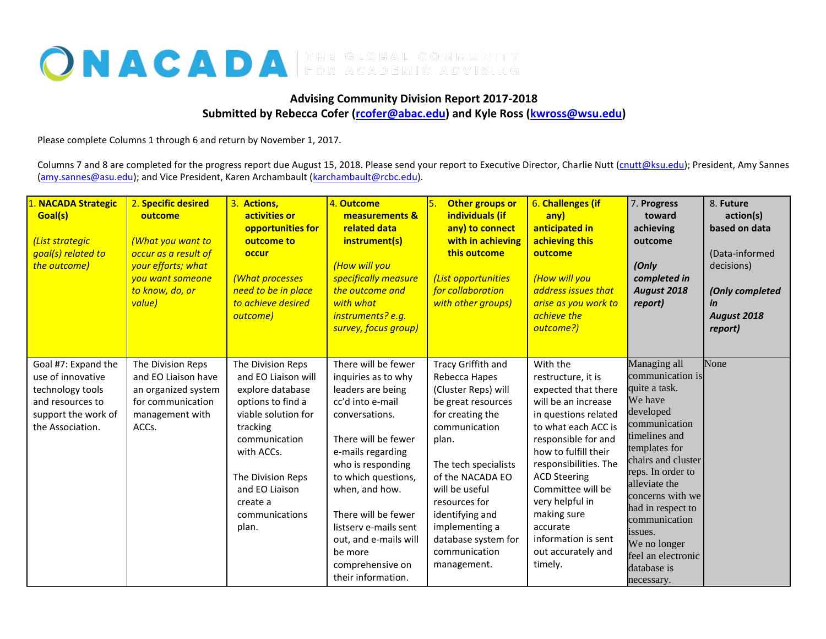## ONACADA

## **Advising Community Division Report 2017-2018 Submitted by Rebecca Cofer [\(rcofer@abac.edu\)](mailto:rcofer@abac.edu) and Kyle Ross [\(kwross@wsu.edu\)](mailto:kwross@wsu.edu)**

Please complete Columns 1 through 6 and return by November 1, 2017.

Columns 7 and 8 are completed for the progress report due August 15, 2018. Please send your report to Executive Director, Charlie Nutt [\(cnutt@ksu.edu\)](mailto:cnutt@ksu.edu); President, Amy Sannes [\(amy.sannes@asu.edu\)](mailto:amy.sannes@asu.edu); and Vice President, Karen Archambault [\(karchambault@rcbc.edu\)](mailto:karchambault@rcbc.edu).

| 1. NACADA Strategic<br>Goal(s)<br>(List strategic<br>goal(s) related to<br>the outcome)                                     | 2. Specific desired<br>outcome<br>(What you want to<br>occur as a result of<br>your efforts; what<br>you want someone<br>to know, do, or<br>value) | 3. Actions,<br>activities or<br>opportunities for<br>outcome to<br>occur<br>(What processes<br>need to be in place<br>to achieve desired<br>outcome)                                                                              | 4. Outcome<br>measurements &<br>related data<br>instrument(s)<br>(How will you<br>specifically measure<br>the outcome and<br>with what<br>instruments? e.g.<br>survey, focus group)                                                                                                                                                           | Other groups or<br>individuals (if<br>any) to connect<br>with in achieving<br>this outcome<br>(List opportunities<br>for collaboration<br>with other groups)                                                                                                                                              | 6. Challenges (if<br>any)<br>anticipated in<br>achieving this<br>outcome<br>(How will you<br>address issues that<br>arise as you work to<br>achieve the<br>outcome?)                                                                                                                                                                                  | 7. Progress<br>toward<br>achieving<br>outcome<br>(Only<br>completed in<br>August 2018<br>report)                                                                                                                                                                                                                                 | 8. Future<br>action(s)<br>based on data<br>(Data-informed<br>decisions)<br>(Only completed<br>in<br>August 2018<br>report) |
|-----------------------------------------------------------------------------------------------------------------------------|----------------------------------------------------------------------------------------------------------------------------------------------------|-----------------------------------------------------------------------------------------------------------------------------------------------------------------------------------------------------------------------------------|-----------------------------------------------------------------------------------------------------------------------------------------------------------------------------------------------------------------------------------------------------------------------------------------------------------------------------------------------|-----------------------------------------------------------------------------------------------------------------------------------------------------------------------------------------------------------------------------------------------------------------------------------------------------------|-------------------------------------------------------------------------------------------------------------------------------------------------------------------------------------------------------------------------------------------------------------------------------------------------------------------------------------------------------|----------------------------------------------------------------------------------------------------------------------------------------------------------------------------------------------------------------------------------------------------------------------------------------------------------------------------------|----------------------------------------------------------------------------------------------------------------------------|
| Goal #7: Expand the<br>use of innovative<br>technology tools<br>and resources to<br>support the work of<br>the Association. | The Division Reps<br>and EO Liaison have<br>an organized system<br>for communication<br>management with<br>ACCs.                                   | The Division Reps<br>and EO Liaison will<br>explore database<br>options to find a<br>viable solution for<br>tracking<br>communication<br>with ACCs.<br>The Division Reps<br>and EO Liaison<br>create a<br>communications<br>plan. | There will be fewer<br>inquiries as to why<br>leaders are being<br>cc'd into e-mail<br>conversations.<br>There will be fewer<br>e-mails regarding<br>who is responding<br>to which questions,<br>when, and how.<br>There will be fewer<br>listsery e-mails sent<br>out, and e-mails will<br>be more<br>comprehensive on<br>their information. | Tracy Griffith and<br>Rebecca Hapes<br>(Cluster Reps) will<br>be great resources<br>for creating the<br>communication<br>plan.<br>The tech specialists<br>of the NACADA EO<br>will be useful<br>resources for<br>identifying and<br>implementing a<br>database system for<br>communication<br>management. | With the<br>restructure, it is<br>expected that there<br>will be an increase<br>in questions related<br>to what each ACC is<br>responsible for and<br>how to fulfill their<br>responsibilities. The<br><b>ACD Steering</b><br>Committee will be<br>very helpful in<br>making sure<br>accurate<br>information is sent<br>out accurately and<br>timely. | Managing all<br>communication is<br>quite a task.<br>We have<br>developed<br>communication<br>timelines and<br>templates for<br>chairs and cluster<br>reps. In order to<br>alleviate the<br>concerns with we<br>had in respect to<br>communication<br>issues.<br>We no longer<br>feel an electronic<br>database is<br>necessary. | None                                                                                                                       |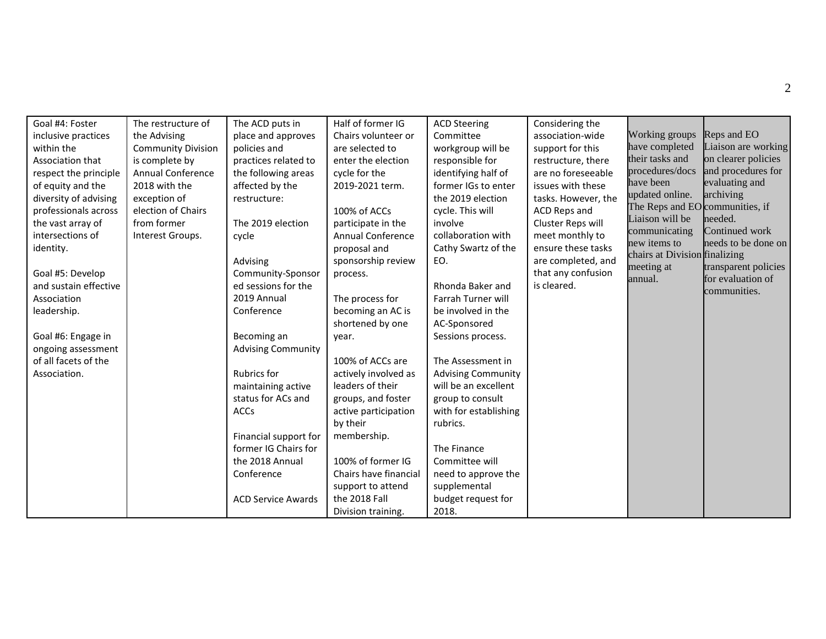| Goal #4: Foster<br>inclusive practices<br>within the<br>Association that<br>respect the principle<br>of equity and the<br>diversity of advising<br>professionals across<br>the vast array of<br>intersections of<br>identity.<br>Goal #5: Develop<br>and sustain effective<br>Association<br>leadership.<br>Goal #6: Engage in<br>ongoing assessment<br>of all facets of the<br>Association. | The restructure of<br>the Advising<br><b>Community Division</b><br>is complete by<br>Annual Conference<br>2018 with the<br>exception of<br>election of Chairs<br>from former<br>Interest Groups. | The ACD puts in<br>place and approves<br>policies and<br>practices related to<br>the following areas<br>affected by the<br>restructure:<br>The 2019 election<br>cycle<br>Advising<br>Community-Sponsor<br>ed sessions for the<br>2019 Annual<br>Conference<br>Becoming an<br><b>Advising Community</b><br><b>Rubrics for</b><br>maintaining active<br>status for ACs and<br><b>ACCs</b><br>Financial support for<br>former IG Chairs for<br>the 2018 Annual<br>Conference<br><b>ACD Service Awards</b> | Half of former IG<br>Chairs volunteer or<br>are selected to<br>enter the election<br>cycle for the<br>2019-2021 term.<br>100% of ACCs<br>participate in the<br>Annual Conference<br>proposal and<br>sponsorship review<br>process.<br>The process for<br>becoming an AC is<br>shortened by one<br>year.<br>100% of ACCs are<br>actively involved as<br>leaders of their<br>groups, and foster<br>active participation<br>by their<br>membership.<br>100% of former IG<br>Chairs have financial<br>support to attend<br>the 2018 Fall<br>Division training. | <b>ACD Steering</b><br>Committee<br>workgroup will be<br>responsible for<br>identifying half of<br>former IGs to enter<br>the 2019 election<br>cycle. This will<br>involve<br>collaboration with<br>Cathy Swartz of the<br>EO.<br>Rhonda Baker and<br>Farrah Turner will<br>be involved in the<br>AC-Sponsored<br>Sessions process.<br>The Assessment in<br><b>Advising Community</b><br>will be an excellent<br>group to consult<br>with for establishing<br>rubrics.<br>The Finance<br>Committee will<br>need to approve the<br>supplemental<br>budget request for<br>2018. | Considering the<br>association-wide<br>support for this<br>restructure, there<br>are no foreseeable<br>issues with these<br>tasks. However, the<br>ACD Reps and<br>Cluster Reps will<br>meet monthly to<br>ensure these tasks<br>are completed, and<br>that any confusion<br>is cleared. | Working groups<br>have completed<br>their tasks and<br>procedures/docs<br>have been<br>updated online.<br>The Reps and EO communities, if<br>Liaison will be<br>communicating<br>new items to<br>chairs at Division finalizing<br>meeting at<br>annual. | Reps and EO<br>Liaison are working<br>on clearer policies<br>and procedures for<br>evaluating and<br>archiving<br>needed.<br>Continued work<br>needs to be done on<br>transparent policies<br>for evaluation of<br>communities. |
|----------------------------------------------------------------------------------------------------------------------------------------------------------------------------------------------------------------------------------------------------------------------------------------------------------------------------------------------------------------------------------------------|--------------------------------------------------------------------------------------------------------------------------------------------------------------------------------------------------|--------------------------------------------------------------------------------------------------------------------------------------------------------------------------------------------------------------------------------------------------------------------------------------------------------------------------------------------------------------------------------------------------------------------------------------------------------------------------------------------------------|------------------------------------------------------------------------------------------------------------------------------------------------------------------------------------------------------------------------------------------------------------------------------------------------------------------------------------------------------------------------------------------------------------------------------------------------------------------------------------------------------------------------------------------------------------|-------------------------------------------------------------------------------------------------------------------------------------------------------------------------------------------------------------------------------------------------------------------------------------------------------------------------------------------------------------------------------------------------------------------------------------------------------------------------------------------------------------------------------------------------------------------------------|------------------------------------------------------------------------------------------------------------------------------------------------------------------------------------------------------------------------------------------------------------------------------------------|---------------------------------------------------------------------------------------------------------------------------------------------------------------------------------------------------------------------------------------------------------|---------------------------------------------------------------------------------------------------------------------------------------------------------------------------------------------------------------------------------|
|----------------------------------------------------------------------------------------------------------------------------------------------------------------------------------------------------------------------------------------------------------------------------------------------------------------------------------------------------------------------------------------------|--------------------------------------------------------------------------------------------------------------------------------------------------------------------------------------------------|--------------------------------------------------------------------------------------------------------------------------------------------------------------------------------------------------------------------------------------------------------------------------------------------------------------------------------------------------------------------------------------------------------------------------------------------------------------------------------------------------------|------------------------------------------------------------------------------------------------------------------------------------------------------------------------------------------------------------------------------------------------------------------------------------------------------------------------------------------------------------------------------------------------------------------------------------------------------------------------------------------------------------------------------------------------------------|-------------------------------------------------------------------------------------------------------------------------------------------------------------------------------------------------------------------------------------------------------------------------------------------------------------------------------------------------------------------------------------------------------------------------------------------------------------------------------------------------------------------------------------------------------------------------------|------------------------------------------------------------------------------------------------------------------------------------------------------------------------------------------------------------------------------------------------------------------------------------------|---------------------------------------------------------------------------------------------------------------------------------------------------------------------------------------------------------------------------------------------------------|---------------------------------------------------------------------------------------------------------------------------------------------------------------------------------------------------------------------------------|